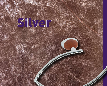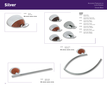## Silver









DIM.: 225 mm. x 35 mm. x 90 mm.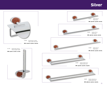## Silver